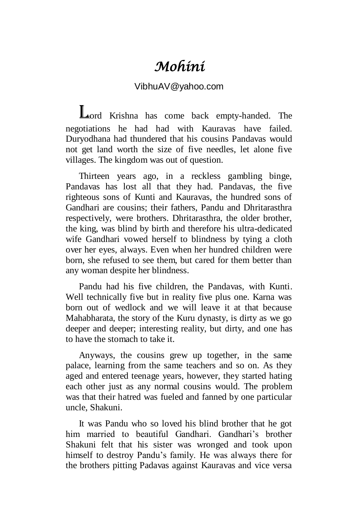## *Mohini*

## VibhuAV@yahoo.com

Lord Krishna has come back empty-handed. The negotiations he had had with Kauravas have failed. Duryodhana had thundered that his cousins Pandavas would not get land worth the size of five needles, let alone five villages. The kingdom was out of question.

Thirteen years ago, in a reckless gambling binge, Pandavas has lost all that they had. Pandavas, the five righteous sons of Kunti and Kauravas, the hundred sons of Gandhari are cousins; their fathers, Pandu and Dhritarasthra respectively, were brothers. Dhritarasthra, the older brother, the king, was blind by birth and therefore his ultra-dedicated wife Gandhari vowed herself to blindness by tying a cloth over her eyes, always. Even when her hundred children were born, she refused to see them, but cared for them better than any woman despite her blindness.

Pandu had his five children, the Pandavas, with Kunti. Well technically five but in reality five plus one. Karna was born out of wedlock and we will leave it at that because Mahabharata, the story of the Kuru dynasty, is dirty as we go deeper and deeper; interesting reality, but dirty, and one has to have the stomach to take it.

Anyways, the cousins grew up together, in the same palace, learning from the same teachers and so on. As they aged and entered teenage years, however, they started hating each other just as any normal cousins would. The problem was that their hatred was fueled and fanned by one particular uncle, Shakuni.

It was Pandu who so loved his blind brother that he got him married to beautiful Gandhari. Gandhari's brother Shakuni felt that his sister was wronged and took upon himself to destroy Pandu's family. He was always there for the brothers pitting Padavas against Kauravas and vice versa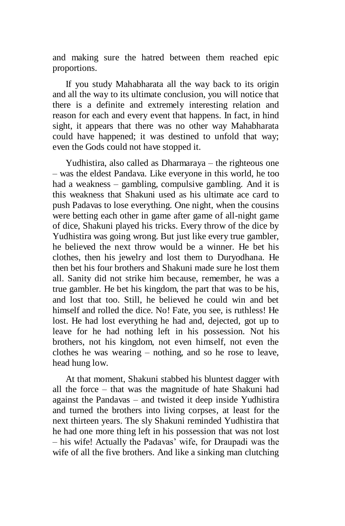and making sure the hatred between them reached epic proportions.

If you study Mahabharata all the way back to its origin and all the way to its ultimate conclusion, you will notice that there is a definite and extremely interesting relation and reason for each and every event that happens. In fact, in hind sight, it appears that there was no other way Mahabharata could have happened; it was destined to unfold that way; even the Gods could not have stopped it.

Yudhistira, also called as Dharmaraya – the righteous one – was the eldest Pandava. Like everyone in this world, he too had a weakness – gambling, compulsive gambling. And it is this weakness that Shakuni used as his ultimate ace card to push Padavas to lose everything. One night, when the cousins were betting each other in game after game of all-night game of dice, Shakuni played his tricks. Every throw of the dice by Yudhistira was going wrong. But just like every true gambler, he believed the next throw would be a winner. He bet his clothes, then his jewelry and lost them to Duryodhana. He then bet his four brothers and Shakuni made sure he lost them all. Sanity did not strike him because, remember, he was a true gambler. He bet his kingdom, the part that was to be his, and lost that too. Still, he believed he could win and bet himself and rolled the dice. No! Fate, you see, is ruthless! He lost. He had lost everything he had and, dejected, got up to leave for he had nothing left in his possession. Not his brothers, not his kingdom, not even himself, not even the clothes he was wearing – nothing, and so he rose to leave, head hung low.

At that moment, Shakuni stabbed his bluntest dagger with all the force – that was the magnitude of hate Shakuni had against the Pandavas – and twisted it deep inside Yudhistira and turned the brothers into living corpses, at least for the next thirteen years. The sly Shakuni reminded Yudhistira that he had one more thing left in his possession that was not lost – his wife! Actually the Padavas' wife, for Draupadi was the wife of all the five brothers. And like a sinking man clutching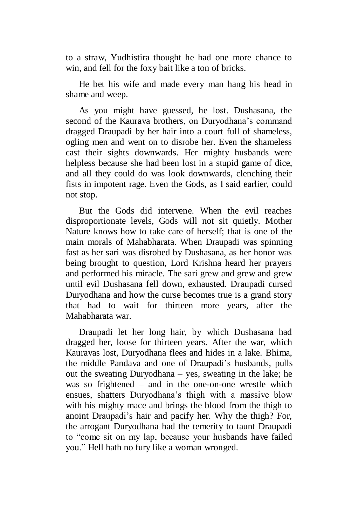to a straw, Yudhistira thought he had one more chance to win, and fell for the foxy bait like a ton of bricks.

He bet his wife and made every man hang his head in shame and weep.

As you might have guessed, he lost. Dushasana, the second of the Kaurava brothers, on Duryodhana's command dragged Draupadi by her hair into a court full of shameless, ogling men and went on to disrobe her. Even the shameless cast their sights downwards. Her mighty husbands were helpless because she had been lost in a stupid game of dice, and all they could do was look downwards, clenching their fists in impotent rage. Even the Gods, as I said earlier, could not stop.

But the Gods did intervene. When the evil reaches disproportionate levels, Gods will not sit quietly. Mother Nature knows how to take care of herself; that is one of the main morals of Mahabharata. When Draupadi was spinning fast as her sari was disrobed by Dushasana, as her honor was being brought to question, Lord Krishna heard her prayers and performed his miracle. The sari grew and grew and grew until evil Dushasana fell down, exhausted. Draupadi cursed Duryodhana and how the curse becomes true is a grand story that had to wait for thirteen more years, after the Mahabharata war.

Draupadi let her long hair, by which Dushasana had dragged her, loose for thirteen years. After the war, which Kauravas lost, Duryodhana flees and hides in a lake. Bhima, the middle Pandava and one of Draupadi's husbands, pulls out the sweating Duryodhana – yes, sweating in the lake; he was so frightened – and in the one-on-one wrestle which ensues, shatters Duryodhana's thigh with a massive blow with his mighty mace and brings the blood from the thigh to anoint Draupadi's hair and pacify her. Why the thigh? For, the arrogant Duryodhana had the temerity to taunt Draupadi to "come sit on my lap, because your husbands have failed you." Hell hath no fury like a woman wronged.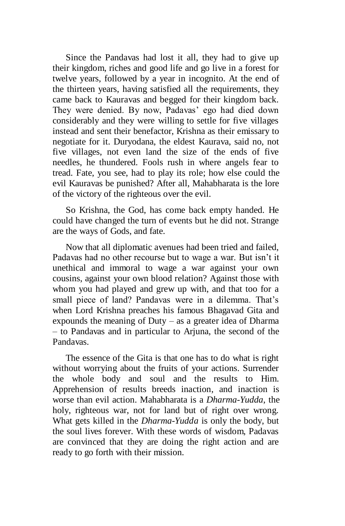Since the Pandavas had lost it all, they had to give up their kingdom, riches and good life and go live in a forest for twelve years, followed by a year in incognito. At the end of the thirteen years, having satisfied all the requirements, they came back to Kauravas and begged for their kingdom back. They were denied. By now, Padavas' ego had died down considerably and they were willing to settle for five villages instead and sent their benefactor, Krishna as their emissary to negotiate for it. Duryodana, the eldest Kaurava, said no, not five villages, not even land the size of the ends of five needles, he thundered. Fools rush in where angels fear to tread. Fate, you see, had to play its role; how else could the evil Kauravas be punished? After all, Mahabharata is the lore of the victory of the righteous over the evil.

So Krishna, the God, has come back empty handed. He could have changed the turn of events but he did not. Strange are the ways of Gods, and fate.

Now that all diplomatic avenues had been tried and failed, Padavas had no other recourse but to wage a war. But isn't it unethical and immoral to wage a war against your own cousins, against your own blood relation? Against those with whom you had played and grew up with, and that too for a small piece of land? Pandavas were in a dilemma. That's when Lord Krishna preaches his famous Bhagavad Gita and expounds the meaning of Duty – as a greater idea of Dharma – to Pandavas and in particular to Arjuna, the second of the Pandavas.

The essence of the Gita is that one has to do what is right without worrying about the fruits of your actions. Surrender the whole body and soul and the results to Him. Apprehension of results breeds inaction, and inaction is worse than evil action. Mahabharata is a *Dharma-Yudda*, the holy, righteous war, not for land but of right over wrong. What gets killed in the *Dharma-Yudda* is only the body, but the soul lives forever. With these words of wisdom, Padavas are convinced that they are doing the right action and are ready to go forth with their mission.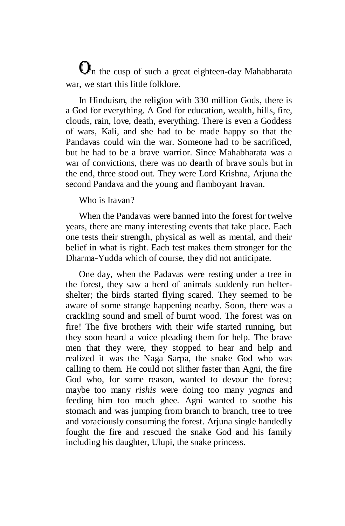$\mathbf{O}_n$  the cusp of such a great eighteen-day Mahabharata war, we start this little folklore.

In Hinduism, the religion with 330 million Gods, there is a God for everything. A God for education, wealth, hills, fire, clouds, rain, love, death, everything. There is even a Goddess of wars, Kali, and she had to be made happy so that the Pandavas could win the war. Someone had to be sacrificed, but he had to be a brave warrior. Since Mahabharata was a war of convictions, there was no dearth of brave souls but in the end, three stood out. They were Lord Krishna, Arjuna the second Pandava and the young and flamboyant Iravan.

Who is Iravan?

When the Pandavas were banned into the forest for twelve years, there are many interesting events that take place. Each one tests their strength, physical as well as mental, and their belief in what is right. Each test makes them stronger for the Dharma-Yudda which of course, they did not anticipate.

One day, when the Padavas were resting under a tree in the forest, they saw a herd of animals suddenly run heltershelter; the birds started flying scared. They seemed to be aware of some strange happening nearby. Soon, there was a crackling sound and smell of burnt wood. The forest was on fire! The five brothers with their wife started running, but they soon heard a voice pleading them for help. The brave men that they were, they stopped to hear and help and realized it was the Naga Sarpa, the snake God who was calling to them. He could not slither faster than Agni, the fire God who, for some reason, wanted to devour the forest; maybe too many *rishis* were doing too many *yagnas* and feeding him too much ghee. Agni wanted to soothe his stomach and was jumping from branch to branch, tree to tree and voraciously consuming the forest. Arjuna single handedly fought the fire and rescued the snake God and his family including his daughter, Ulupi, the snake princess.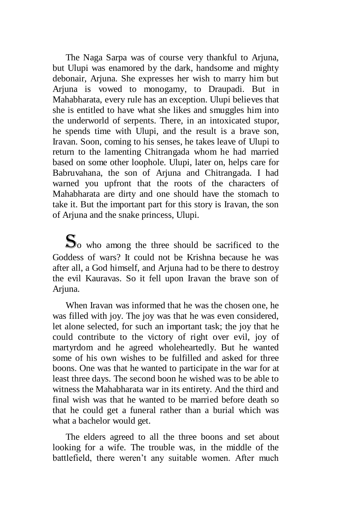The Naga Sarpa was of course very thankful to Arjuna, but Ulupi was enamored by the dark, handsome and mighty debonair, Arjuna. She expresses her wish to marry him but Arjuna is vowed to monogamy, to Draupadi. But in Mahabharata, every rule has an exception. Ulupi believes that she is entitled to have what she likes and smuggles him into the underworld of serpents. There, in an intoxicated stupor, he spends time with Ulupi, and the result is a brave son, Iravan. Soon, coming to his senses, he takes leave of Ulupi to return to the lamenting Chitrangada whom he had married based on some other loophole. Ulupi, later on, helps care for Babruvahana, the son of Arjuna and Chitrangada. I had warned you upfront that the roots of the characters of Mahabharata are dirty and one should have the stomach to take it. But the important part for this story is Iravan, the son of Arjuna and the snake princess, Ulupi.

 $\mathbf{S}_0$  who among the three should be sacrificed to the Goddess of wars? It could not be Krishna because he was after all, a God himself, and Arjuna had to be there to destroy the evil Kauravas. So it fell upon Iravan the brave son of Arjuna.

When Iravan was informed that he was the chosen one, he was filled with joy. The joy was that he was even considered, let alone selected, for such an important task; the joy that he could contribute to the victory of right over evil, joy of martyrdom and he agreed wholeheartedly. But he wanted some of his own wishes to be fulfilled and asked for three boons. One was that he wanted to participate in the war for at least three days. The second boon he wished was to be able to witness the Mahabharata war in its entirety. And the third and final wish was that he wanted to be married before death so that he could get a funeral rather than a burial which was what a bachelor would get.

The elders agreed to all the three boons and set about looking for a wife. The trouble was, in the middle of the battlefield, there weren't any suitable women. After much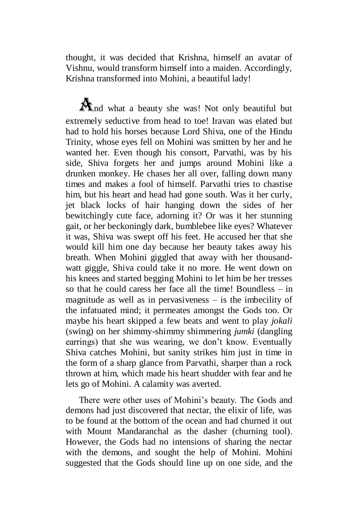thought, it was decided that Krishna, himself an avatar of Vishnu, would transform himself into a maiden. Accordingly, Krishna transformed into Mohini, a beautiful lady!

And what a beauty she was! Not only beautiful but extremely seductive from head to toe! Iravan was elated but had to hold his horses because Lord Shiva, one of the Hindu Trinity, whose eyes fell on Mohini was smitten by her and he wanted her. Even though his consort, Parvathi, was by his side, Shiva forgets her and jumps around Mohini like a drunken monkey. He chases her all over, falling down many times and makes a fool of himself. Parvathi tries to chastise him, but his heart and head had gone south. Was it her curly, jet black locks of hair hanging down the sides of her bewitchingly cute face, adorning it? Or was it her stunning gait, or her beckoningly dark, bumblebee like eyes? Whatever it was, Shiva was swept off his feet. He accused her that she would kill him one day because her beauty takes away his breath. When Mohini giggled that away with her thousandwatt giggle, Shiva could take it no more. He went down on his knees and started begging Mohini to let him be her tresses so that he could caress her face all the time! Boundless – in magnitude as well as in pervasiveness – is the imbecility of the infatuated mind; it permeates amongst the Gods too. Or maybe his heart skipped a few beats and went to play *jokali* (swing) on her shimmy-shimmy shimmering *jumki* (dangling earrings) that she was wearing, we don't know. Eventually Shiva catches Mohini, but sanity strikes him just in time in the form of a sharp glance from Parvathi, sharper than a rock thrown at him, which made his heart shudder with fear and he lets go of Mohini. A calamity was averted.

There were other uses of Mohini's beauty. The Gods and demons had just discovered that nectar, the elixir of life, was to be found at the bottom of the ocean and had churned it out with Mount Mandaranchal as the dasher (churning tool). However, the Gods had no intensions of sharing the nectar with the demons, and sought the help of Mohini. Mohini suggested that the Gods should line up on one side, and the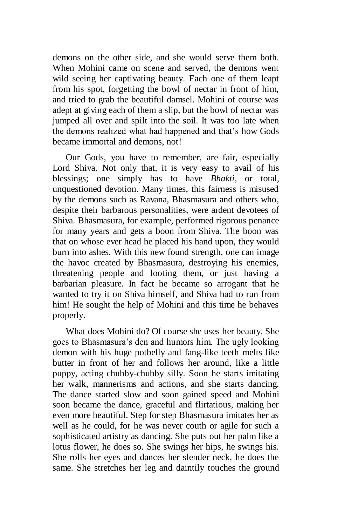demons on the other side, and she would serve them both. When Mohini came on scene and served, the demons went wild seeing her captivating beauty. Each one of them leapt from his spot, forgetting the bowl of nectar in front of him, and tried to grab the beautiful damsel. Mohini of course was adept at giving each of them a slip, but the bowl of nectar was jumped all over and spilt into the soil. It was too late when the demons realized what had happened and that's how Gods became immortal and demons, not!

Our Gods, you have to remember, are fair, especially Lord Shiva. Not only that, it is very easy to avail of his blessings; one simply has to have *Bhakti*, or total, unquestioned devotion. Many times, this fairness is misused by the demons such as Ravana, Bhasmasura and others who, despite their barbarous personalities, were ardent devotees of Shiva. Bhasmasura, for example, performed rigorous penance for many years and gets a boon from Shiva. The boon was that on whose ever head he placed his hand upon, they would burn into ashes. With this new found strength, one can image the havoc created by Bhasmasura, destroying his enemies, threatening people and looting them, or just having a barbarian pleasure. In fact he became so arrogant that he wanted to try it on Shiva himself, and Shiva had to run from him! He sought the help of Mohini and this time he behaves properly.

What does Mohini do? Of course she uses her beauty. She goes to Bhasmasura's den and humors him. The ugly looking demon with his huge potbelly and fang-like teeth melts like butter in front of her and follows her around, like a little puppy, acting chubby-chubby silly. Soon he starts imitating her walk, mannerisms and actions, and she starts dancing. The dance started slow and soon gained speed and Mohini soon became the dance, graceful and flirtatious, making her even more beautiful. Step for step Bhasmasura imitates her as well as he could, for he was never couth or agile for such a sophisticated artistry as dancing. She puts out her palm like a lotus flower, he does so. She swings her hips, he swings his. She rolls her eyes and dances her slender neck, he does the same. She stretches her leg and daintily touches the ground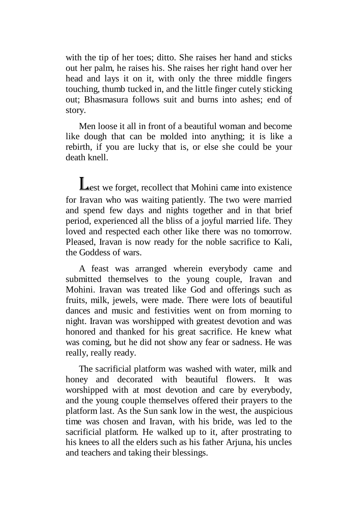with the tip of her toes; ditto. She raises her hand and sticks out her palm, he raises his. She raises her right hand over her head and lays it on it, with only the three middle fingers touching, thumb tucked in, and the little finger cutely sticking out; Bhasmasura follows suit and burns into ashes; end of story.

Men loose it all in front of a beautiful woman and become like dough that can be molded into anything; it is like a rebirth, if you are lucky that is, or else she could be your death knell.

**Lest** we forget, recollect that Mohini came into existence for Iravan who was waiting patiently. The two were married and spend few days and nights together and in that brief period, experienced all the bliss of a joyful married life. They loved and respected each other like there was no tomorrow. Pleased, Iravan is now ready for the noble sacrifice to Kali, the Goddess of wars.

A feast was arranged wherein everybody came and submitted themselves to the young couple, Iravan and Mohini. Iravan was treated like God and offerings such as fruits, milk, jewels, were made. There were lots of beautiful dances and music and festivities went on from morning to night. Iravan was worshipped with greatest devotion and was honored and thanked for his great sacrifice. He knew what was coming, but he did not show any fear or sadness. He was really, really ready.

The sacrificial platform was washed with water, milk and honey and decorated with beautiful flowers. It was worshipped with at most devotion and care by everybody, and the young couple themselves offered their prayers to the platform last. As the Sun sank low in the west, the auspicious time was chosen and Iravan, with his bride, was led to the sacrificial platform. He walked up to it, after prostrating to his knees to all the elders such as his father Arjuna, his uncles and teachers and taking their blessings.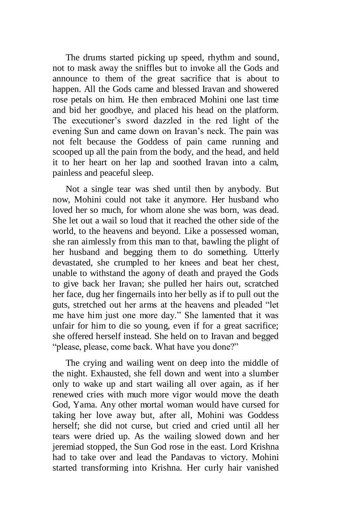The drums started picking up speed, rhythm and sound, not to mask away the sniffles but to invoke all the Gods and announce to them of the great sacrifice that is about to happen. All the Gods came and blessed Iravan and showered rose petals on him. He then embraced Mohini one last time and bid her goodbye, and placed his head on the platform. The executioner's sword dazzled in the red light of the evening Sun and came down on Iravan's neck. The pain was not felt because the Goddess of pain came running and scooped up all the pain from the body, and the head, and held it to her heart on her lap and soothed Iravan into a calm, painless and peaceful sleep.

Not a single tear was shed until then by anybody. But now, Mohini could not take it anymore. Her husband who loved her so much, for whom alone she was born, was dead. She let out a wail so loud that it reached the other side of the world, to the heavens and beyond. Like a possessed woman, she ran aimlessly from this man to that, bawling the plight of her husband and begging them to do something. Utterly devastated, she crumpled to her knees and beat her chest, unable to withstand the agony of death and prayed the Gods to give back her Iravan; she pulled her hairs out, scratched her face, dug her fingernails into her belly as if to pull out the guts, stretched out her arms at the heavens and pleaded "let me have him just one more day." She lamented that it was unfair for him to die so young, even if for a great sacrifice; she offered herself instead. She held on to Iravan and begged "please, please, come back. What have you done?"

The crying and wailing went on deep into the middle of the night. Exhausted, she fell down and went into a slumber only to wake up and start wailing all over again, as if her renewed cries with much more vigor would move the death God, Yama. Any other mortal woman would have cursed for taking her love away but, after all, Mohini was Goddess herself; she did not curse, but cried and cried until all her tears were dried up. As the wailing slowed down and her jeremiad stopped, the Sun God rose in the east. Lord Krishna had to take over and lead the Pandavas to victory. Mohini started transforming into Krishna. Her curly hair vanished